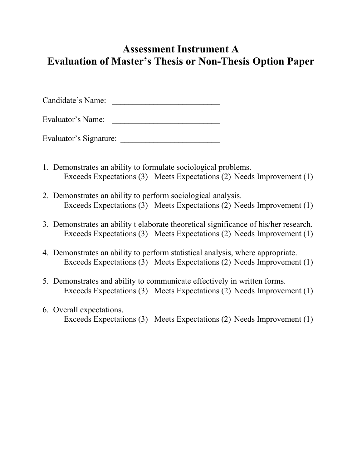## **Assessment Instrument A Evaluation of Master's Thesis or Non-Thesis Option Paper**

Candidate's Name: \_\_\_\_\_\_\_\_\_\_\_\_\_\_\_\_\_\_\_\_\_\_\_\_\_\_

Evaluator's Name: \_\_\_\_\_\_\_\_\_\_\_\_\_\_\_\_\_\_\_\_\_\_\_\_\_\_

Evaluator's Signature:

- 1. Demonstrates an ability to formulate sociological problems. Exceeds Expectations (3) Meets Expectations (2) Needs Improvement (1)
- 2. Demonstrates an ability to perform sociological analysis. Exceeds Expectations (3) Meets Expectations (2) Needs Improvement (1)
- 3. Demonstrates an ability t elaborate theoretical significance of his/her research. Exceeds Expectations (3) Meets Expectations (2) Needs Improvement (1)
- 4. Demonstrates an ability to perform statistical analysis, where appropriate. Exceeds Expectations (3) Meets Expectations (2) Needs Improvement (1)
- 5. Demonstrates and ability to communicate effectively in written forms. Exceeds Expectations (3) Meets Expectations (2) Needs Improvement (1)
- 6. Overall expectations. Exceeds Expectations (3) Meets Expectations (2) Needs Improvement (1)